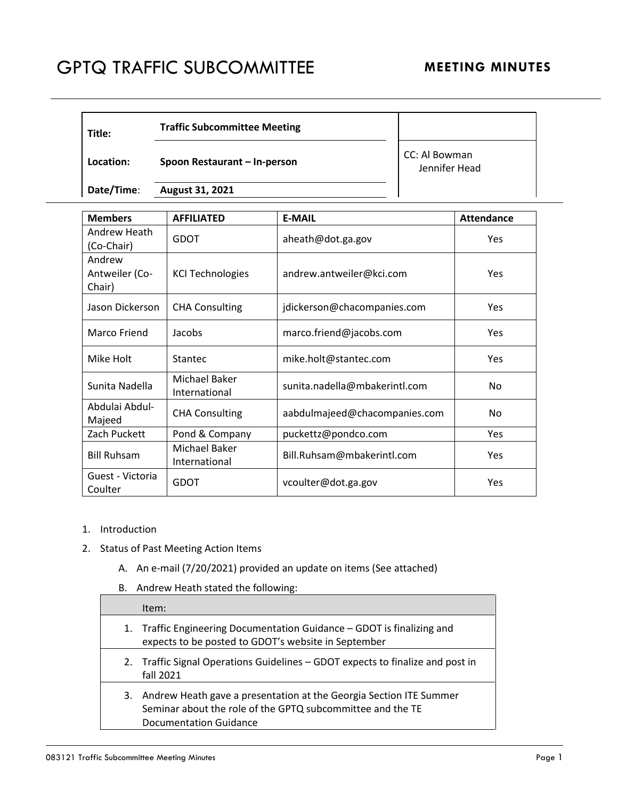## GPTQ TRAFFIC SUBCOMMITTEE MEETING MINUTES

| Title:     | <b>Traffic Subcommittee Meeting</b> |                                |
|------------|-------------------------------------|--------------------------------|
| Location:  | Spoon Restaurant – In-person        | CC: Al Bowman<br>Jennifer Head |
| Date/Time: | August 31, 2021                     |                                |

| <b>Members</b>                     | <b>AFFILIATED</b>              | <b>E-MAIL</b>                 | <b>Attendance</b> |
|------------------------------------|--------------------------------|-------------------------------|-------------------|
| Andrew Heath<br>(Co-Chair)         | GDOT                           | aheath@dot.ga.gov             | <b>Yes</b>        |
| Andrew<br>Antweiler (Co-<br>Chair) | <b>KCI Technologies</b>        | andrew.antweiler@kci.com      | <b>Yes</b>        |
| Jason Dickerson                    | <b>CHA Consulting</b>          | jdickerson@chacompanies.com   | <b>Yes</b>        |
| Marco Friend                       | Jacobs                         | marco.friend@jacobs.com       | <b>Yes</b>        |
| Mike Holt                          | <b>Stantec</b>                 | mike.holt@stantec.com         | <b>Yes</b>        |
| Sunita Nadella                     | Michael Baker<br>International | sunita.nadella@mbakerintl.com | No                |
| Abdulai Abdul-<br>Majeed           | <b>CHA Consulting</b>          | aabdulmajeed@chacompanies.com | No                |
| Zach Puckett                       | Pond & Company                 | puckettz@pondco.com           | <b>Yes</b>        |
| <b>Bill Ruhsam</b>                 | Michael Baker<br>International | Bill.Ruhsam@mbakerintl.com    | <b>Yes</b>        |
| Guest - Victoria<br>Coulter        | GDOT                           | vcoulter@dot.ga.gov           | Yes               |

- 1. Introduction
- 2. Status of Past Meeting Action Items
	- A. An e-mail (7/20/2021) provided an update on items (See attached)
	- B. Andrew Heath stated the following:

| Item:                                                                                                                                                                |
|----------------------------------------------------------------------------------------------------------------------------------------------------------------------|
| 1. Traffic Engineering Documentation Guidance - GDOT is finalizing and<br>expects to be posted to GDOT's website in September                                        |
| 2. Traffic Signal Operations Guidelines – GDOT expects to finalize and post in<br>fall 2021                                                                          |
| 3. Andrew Heath gave a presentation at the Georgia Section ITE Summer<br>Seminar about the role of the GPTQ subcommittee and the TE<br><b>Documentation Guidance</b> |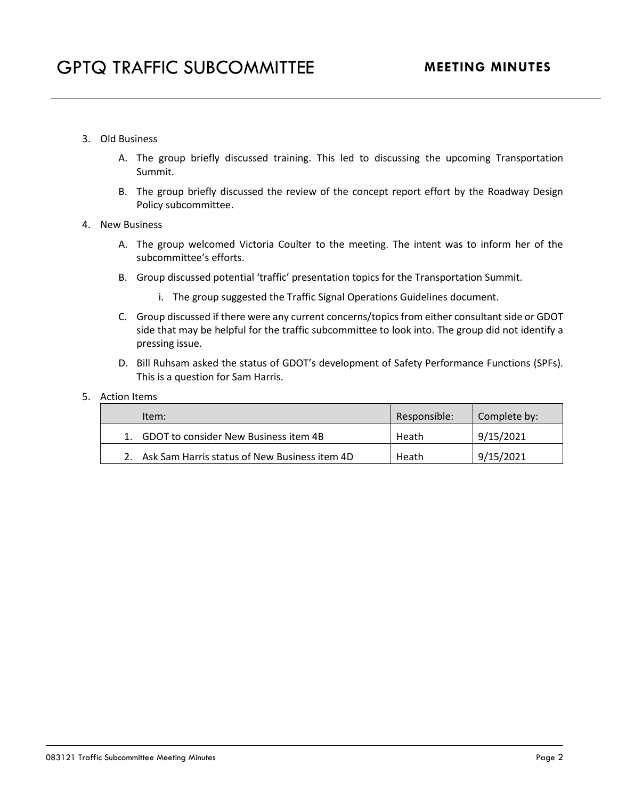- 3. Old Business
	- A. The group briefly discussed training. This led to discussing the upcoming Transportation Summit.
	- B. The group briefly discussed the review of the concept report effort by the Roadway Design Policy subcommittee.
- 4. New Business
	- A. The group welcomed Victoria Coulter to the meeting. The intent was to inform her of the subcommittee's efforts.
	- B. Group discussed potential 'traffic' presentation topics for the Transportation Summit.
		- i. The group suggested the Traffic Signal Operations Guidelines document.
	- C. Group discussed if there were any current concerns/topics from either consultant side or GDOT side that may be helpful for the traffic subcommittee to look into. The group did not identify a pressing issue.
	- D. Bill Ruhsam asked the status of GDOT's development of Safety Performance Functions (SPFs). This is a question for Sam Harris.
- 5. Action Items

| Item:                                            | Responsible: | Complete by: |
|--------------------------------------------------|--------------|--------------|
| 1. GDOT to consider New Business item 4B         | Heath        | 9/15/2021    |
| 2. Ask Sam Harris status of New Business item 4D | Heath        | 9/15/2021    |